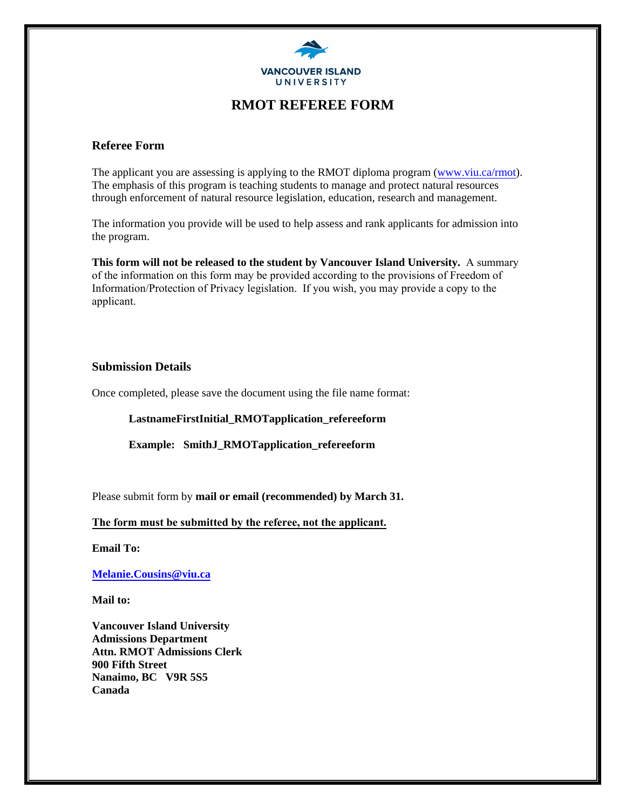

### **RMOT REFEREE FORM**

### **Referee Form**

The applicant you are assessing is applying to the RMOT diploma program [\(www.viu.ca/rmot\).](http://www.viu.ca/rmot) The emphasis of this program is teaching students to manage and protect natural resources through enforcement of natural resource legislation, education, research and management.

The information you provide will be used to help assess and rank applicants for admission into the program.

**This form will not be released to the student by Vancouver Island University.** A summary of the information on this form may be provided according to the provisions of Freedom of Information/Protection of Privacy legislation. If you wish, you may provide a copy to the applicant.

#### **Submission Details**

Once completed, please save the document using the file name format:

**LastnameFirstInitial\_RMOTapplication\_refereeform**

**Example: SmithJ\_RMOTapplication\_refereeform**

Please submit form by **mail or email (recommended) by March 31.**

#### **The form must be submitted by the referee, not the applicant.**

**[Email To:](mailto:Melanie.Cousins@viu.ca)** 

**Melanie.Cousins@viu.ca**

**Mail to:** 

**Vancouver Island University Admissions Department Attn. RMOT Admissions Clerk 900 Fifth Street Nanaimo, BC V9R 5S5 Canada**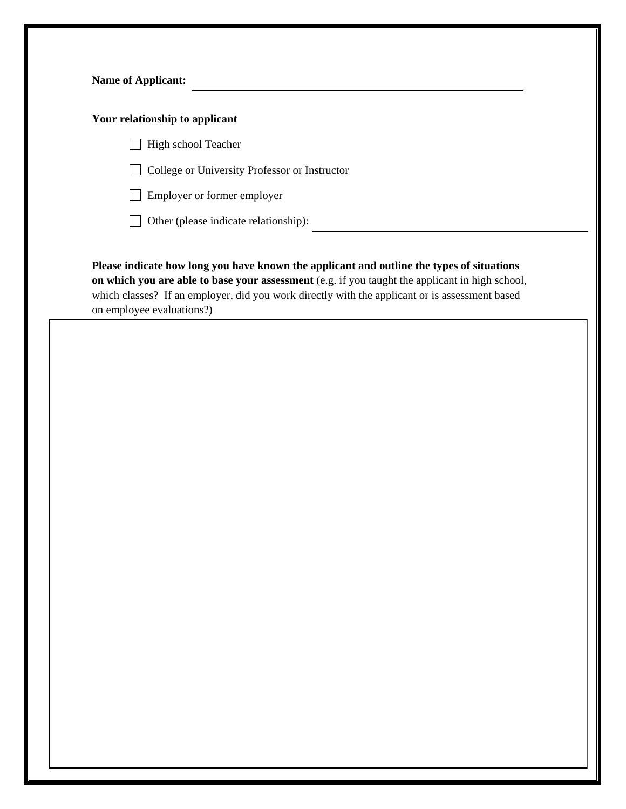| Your relationship to applicant                                                                                                                                                                                                                                                                                              |
|-----------------------------------------------------------------------------------------------------------------------------------------------------------------------------------------------------------------------------------------------------------------------------------------------------------------------------|
| High school Teacher                                                                                                                                                                                                                                                                                                         |
| College or University Professor or Instructor                                                                                                                                                                                                                                                                               |
| Employer or former employer                                                                                                                                                                                                                                                                                                 |
| Other (please indicate relationship):                                                                                                                                                                                                                                                                                       |
| Please indicate how long you have known the applicant and outline the types of situations<br>on which you are able to base your assessment (e.g. if you taught the applicant in high school,<br>which classes? If an employer, did you work directly with the applicant or is assessment based<br>on employee evaluations?) |
|                                                                                                                                                                                                                                                                                                                             |
|                                                                                                                                                                                                                                                                                                                             |
|                                                                                                                                                                                                                                                                                                                             |
|                                                                                                                                                                                                                                                                                                                             |
|                                                                                                                                                                                                                                                                                                                             |
|                                                                                                                                                                                                                                                                                                                             |
|                                                                                                                                                                                                                                                                                                                             |
|                                                                                                                                                                                                                                                                                                                             |
|                                                                                                                                                                                                                                                                                                                             |
|                                                                                                                                                                                                                                                                                                                             |
|                                                                                                                                                                                                                                                                                                                             |
|                                                                                                                                                                                                                                                                                                                             |
|                                                                                                                                                                                                                                                                                                                             |
|                                                                                                                                                                                                                                                                                                                             |
|                                                                                                                                                                                                                                                                                                                             |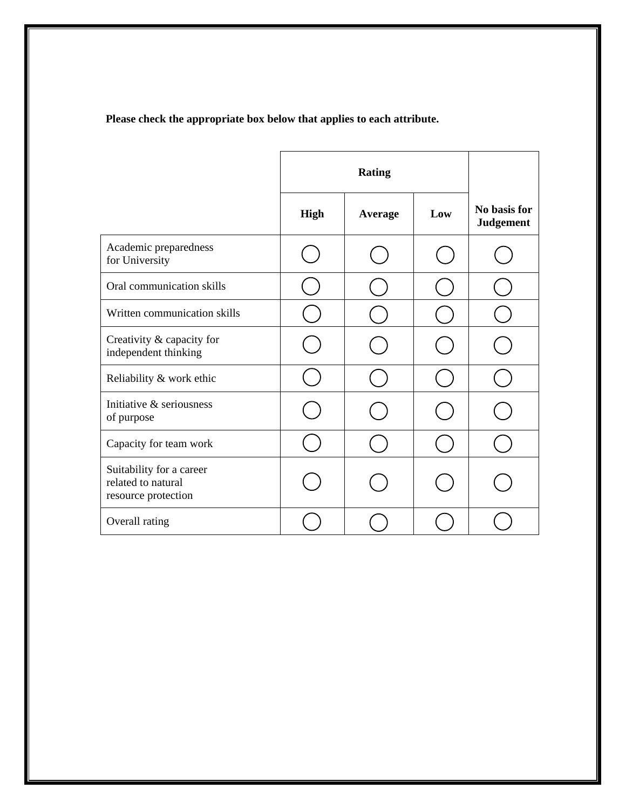# **Please check the appropriate box below that applies to each attribute.**

|                                                                       | <b>Rating</b> |                |     |                                  |
|-----------------------------------------------------------------------|---------------|----------------|-----|----------------------------------|
|                                                                       | <b>High</b>   | <b>Average</b> | Low | No basis for<br><b>Judgement</b> |
| Academic preparedness<br>for University                               |               |                |     |                                  |
| Oral communication skills                                             |               |                |     |                                  |
| Written communication skills                                          |               |                |     |                                  |
| Creativity & capacity for<br>independent thinking                     |               |                |     |                                  |
| Reliability & work ethic                                              |               |                |     |                                  |
| Initiative & seriousness<br>of purpose                                |               |                |     |                                  |
| Capacity for team work                                                |               |                |     |                                  |
| Suitability for a career<br>related to natural<br>resource protection |               |                |     |                                  |
| Overall rating                                                        |               |                |     |                                  |